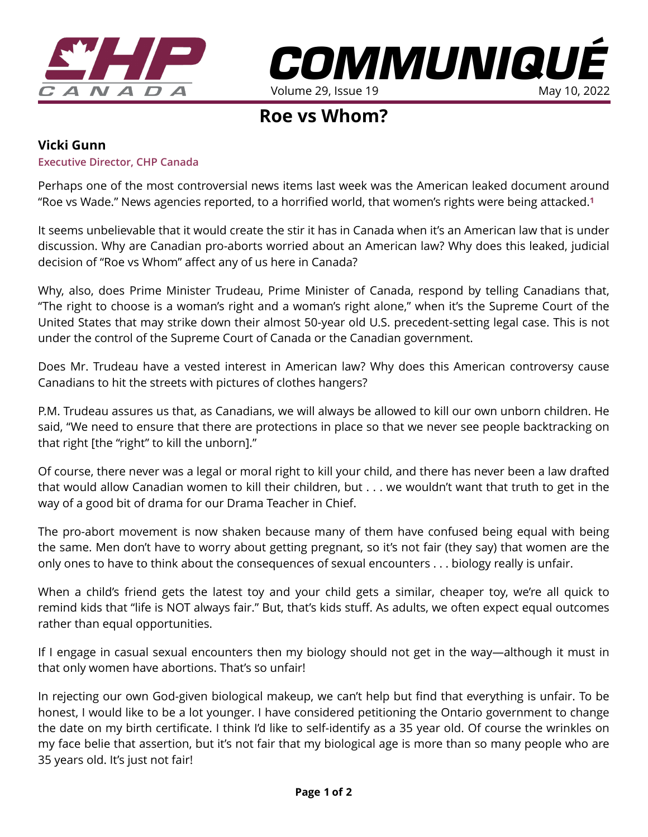



# **Roe vs Whom?**

## **Vicki Gunn**

#### **Executive Director, CHP Canada**

Perhaps one of the most controversial news items last week was the American leaked document around "Roe vs Wade." News agencies reported, to a horrified world, that women's rights were being attacked.**[1](https://www.theglobeandmail.com/opinion/article-womens-rights-are-under-attack-but-that-was-already-the-case-for/)**

It seems unbelievable that it would create the stir it has in Canada when it's an American law that is under discussion. Why are Canadian pro-aborts worried about an American law? Why does this leaked, judicial decision of "Roe vs Whom" affect any of us here in Canada?

Why, also, does Prime Minister Trudeau, Prime Minister of Canada, respond by telling Canadians that, "The right to choose is a woman's right and a woman's right alone," when it's the Supreme Court of the United States that may strike down their almost 50-year old U.S. precedent-setting legal case. This is not under the control of the Supreme Court of Canada or the Canadian government.

Does Mr. Trudeau have a vested interest in American law? Why does this American controversy cause Canadians to hit the streets with pictures of clothes hangers?

P.M. Trudeau assures us that, as Canadians, we will always be allowed to kill our own unborn children. He said, "We need to ensure that there are protections in place so that we never see people backtracking on that right [the "right" to kill the unborn]."

Of course, there never was a legal or moral right to kill your child, and there has never been a law drafted that would allow Canadian women to kill their children, but . . . we wouldn't want that truth to get in the way of a good bit of drama for our Drama Teacher in Chief.

The pro-abort movement is now shaken because many of them have confused being equal with being the same. Men don't have to worry about getting pregnant, so it's not fair (they say) that women are the only ones to have to think about the consequences of sexual encounters . . . biology really is unfair.

When a child's friend gets the latest toy and your child gets a similar, cheaper toy, we're all quick to remind kids that "life is NOT always fair." But, that's kids stuff. As adults, we often expect equal outcomes rather than equal opportunities.

If I engage in casual sexual encounters then my biology should not get in the way—although it must in that only women have abortions. That's so unfair!

In rejecting our own God-given biological makeup, we can't help but find that everything is unfair. To be honest, I would like to be a lot younger. I have considered petitioning the Ontario government to change the date on my birth certificate. I think I'd like to self-identify as a 35 year old. Of course the wrinkles on my face belie that assertion, but it's not fair that my biological age is more than so many people who are 35 years old. It's just not fair!